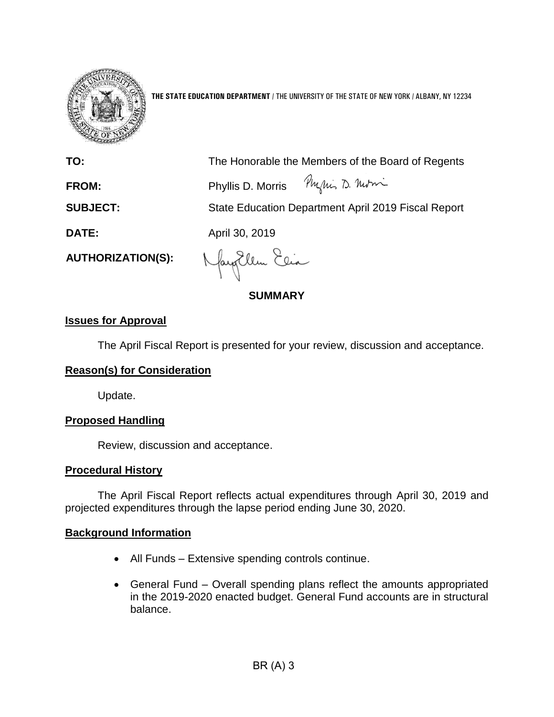

**THE STATE EDUCATION DEPARTMENT** / THE UNIVERSITY OF THE STATE OF NEW YORK / ALBANY, NY 12234

| TO:                      | The Honorable the Members of the Board of Regents   |
|--------------------------|-----------------------------------------------------|
| FROM:                    | Phyllis D. Morris Phylics D. Morri                  |
| <b>SUBJECT:</b>          | State Education Department April 2019 Fiscal Report |
| <b>DATE:</b>             | April 30, 2019                                      |
| <b>AUTHORIZATION(S):</b> | Nayorllen Elia                                      |

 $\sqrt{ }$ 

**SUMMARY**

# **Issues for Approval**

The April Fiscal Report is presented for your review, discussion and acceptance.

# **Reason(s) for Consideration**

Update.

# **Proposed Handling**

Review, discussion and acceptance.

# **Procedural History**

The April Fiscal Report reflects actual expenditures through April 30, 2019 and projected expenditures through the lapse period ending June 30, 2020.

# **Background Information**

- All Funds Extensive spending controls continue.
- General Fund Overall spending plans reflect the amounts appropriated in the 2019-2020 enacted budget. General Fund accounts are in structural balance.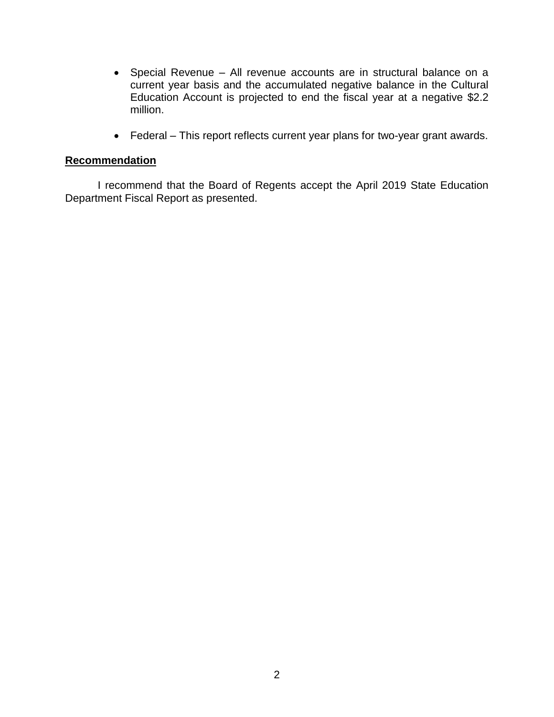- Special Revenue All revenue accounts are in structural balance on a current year basis and the accumulated negative balance in the Cultural Education Account is projected to end the fiscal year at a negative \$2.2 million.
- Federal This report reflects current year plans for two-year grant awards.

# **Recommendation**

I recommend that the Board of Regents accept the April 2019 State Education Department Fiscal Report as presented.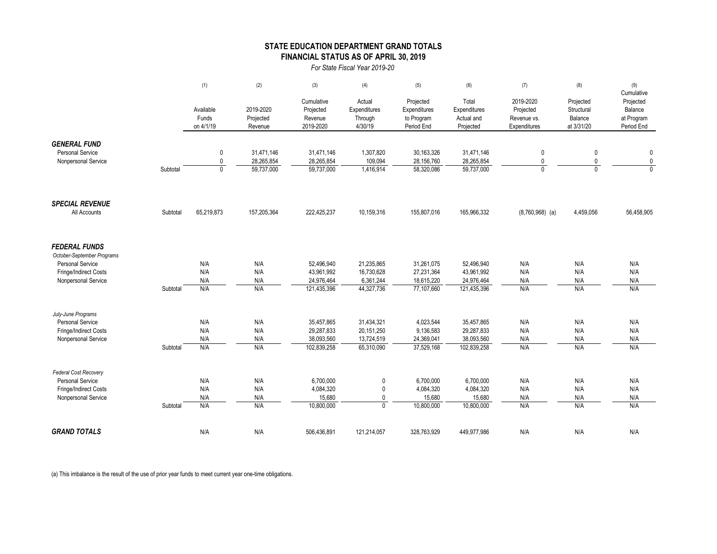### **STATE EDUCATION DEPARTMENT GRAND TOTALS FINANCIAL STATUS AS OF APRIL 30, 2019**

*For State Fiscal Year 2019-20*

|                                                                                                                               |          | (1)                             | (2)                               | (3)                                             | (4)                                          | (5)                                                   | (6)                                              | (7)                                                   | (8)                                              | (9)<br>Cumulative                                |
|-------------------------------------------------------------------------------------------------------------------------------|----------|---------------------------------|-----------------------------------|-------------------------------------------------|----------------------------------------------|-------------------------------------------------------|--------------------------------------------------|-------------------------------------------------------|--------------------------------------------------|--------------------------------------------------|
|                                                                                                                               |          | Available<br>Funds<br>on 4/1/19 | 2019-2020<br>Projected<br>Revenue | Cumulative<br>Projected<br>Revenue<br>2019-2020 | Actual<br>Expenditures<br>Through<br>4/30/19 | Projected<br>Expenditures<br>to Program<br>Period End | Total<br>Expenditures<br>Actual and<br>Projected | 2019-2020<br>Projected<br>Revenue vs.<br>Expenditures | Projected<br>Structural<br>Balance<br>at 3/31/20 | Projected<br>Balance<br>at Program<br>Period End |
| <b>GENERAL FUND</b>                                                                                                           |          |                                 |                                   |                                                 |                                              |                                                       |                                                  |                                                       |                                                  |                                                  |
| <b>Personal Service</b>                                                                                                       |          | $\mathbf 0$                     | 31,471,146                        | 31,471,146                                      | 1,307,820                                    | 30,163,326                                            | 31,471,146                                       | 0                                                     | 0                                                | $\mathbf 0$                                      |
| Nonpersonal Service                                                                                                           |          | $\pmb{0}$                       | 28,265,854                        | 28,265,854                                      | 109,094                                      | 28,156,760                                            | 28,265,854                                       | 0                                                     | 0                                                | $\pmb{0}$                                        |
|                                                                                                                               | Subtotal | $\mathbf{0}$                    | 59,737,000                        | 59,737,000                                      | 1,416,914                                    | 58,320,086                                            | 59,737,000                                       | $\mathbf{0}$                                          | $\mathbf{0}$                                     | $\overline{0}$                                   |
| <b>SPECIAL REVENUE</b>                                                                                                        |          |                                 |                                   |                                                 |                                              |                                                       |                                                  |                                                       |                                                  |                                                  |
| All Accounts                                                                                                                  | Subtotal | 65,219,873                      | 157,205,364                       | 222,425,237                                     | 10,159,316                                   | 155,807,016                                           | 165,966,332                                      | $(8,760,968)$ (a)                                     | 4,459,056                                        | 56,458,905                                       |
| <b>FEDERAL FUNDS</b><br>October-September Programs<br><b>Personal Service</b><br>Fringe/Indirect Costs<br>Nonpersonal Service |          | N/A<br>N/A<br>N/A               | N/A<br>N/A<br>N/A                 | 52,496,940<br>43,961,992<br>24,976,464          | 21,235,865<br>16,730,628<br>6,361,244        | 31,261,075<br>27,231,364<br>18,615,220                | 52,496,940<br>43,961,992<br>24,976,464           | N/A<br>N/A<br>N/A                                     | N/A<br>N/A<br>N/A                                | N/A<br>N/A<br>N/A                                |
|                                                                                                                               | Subtotal | N/A                             | N/A                               | 121,435,396                                     | 44,327,736                                   | 77,107,660                                            | 121,435,396                                      | N/A                                                   | N/A                                              | N/A                                              |
| July-June Programs<br><b>Personal Service</b>                                                                                 |          | N/A                             | N/A                               | 35,457,865                                      | 31,434,321                                   | 4,023,544                                             | 35,457,865                                       | N/A                                                   | N/A                                              | N/A                                              |
| Fringe/Indirect Costs                                                                                                         |          | N/A                             | N/A                               | 29,287,833                                      | 20,151,250                                   | 9,136,583                                             | 29,287,833                                       | N/A                                                   | N/A                                              | N/A                                              |
| Nonpersonal Service                                                                                                           |          | N/A                             | N/A                               | 38,093,560                                      | 13,724,519                                   | 24,369,041                                            | 38,093,560                                       | N/A                                                   | N/A                                              | N/A                                              |
|                                                                                                                               | Subtotal | N/A                             | N/A                               | 102,839,258                                     | 65,310,090                                   | 37,529,168                                            | 102,839,258                                      | N/A                                                   | N/A                                              | N/A                                              |
| Federal Cost Recovery                                                                                                         |          |                                 |                                   |                                                 |                                              |                                                       |                                                  |                                                       |                                                  |                                                  |
| <b>Personal Service</b>                                                                                                       |          | N/A                             | N/A                               | 6,700,000                                       | $\pmb{0}$                                    | 6,700,000                                             | 6,700,000                                        | N/A                                                   | N/A                                              | N/A                                              |
| Fringe/Indirect Costs                                                                                                         |          | N/A                             | N/A                               | 4,084,320<br>15,680                             | 0                                            | 4,084,320                                             | 4,084,320                                        | N/A                                                   | N/A                                              | N/A                                              |
| Nonpersonal Service                                                                                                           | Subtotal | N/A<br>N/A                      | N/A<br>N/A                        | 10,800,000                                      | $\mathbf 0$<br>$\mathbf 0$                   | 15,680<br>10,800,000                                  | 15,680<br>10,800,000                             | N/A<br>N/A                                            | N/A<br>N/A                                       | N/A<br>N/A                                       |
| <b>GRAND TOTALS</b>                                                                                                           |          | N/A                             | N/A                               | 506.436.891                                     | 121.214.057                                  | 328.763.929                                           | 449.977.986                                      | N/A                                                   | N/A                                              | N/A                                              |

(a) This imbalance is the result of the use of prior year funds to meet current year one-time obligations.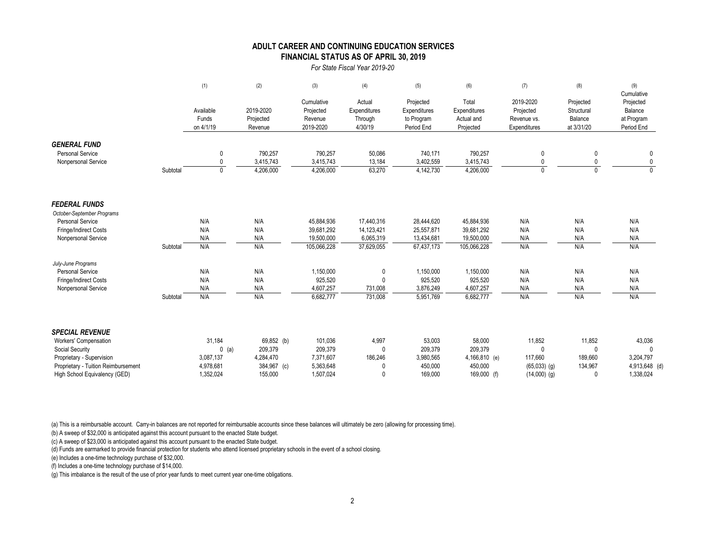### **FINANCIAL STATUS AS OF APRIL 30, 2019 ADULT CAREER AND CONTINUING EDUCATION SERVICES**

#### *For State Fiscal Year 2019-20*

|                                                       |          | (1)                             | (2)                               | (3)                                             | (4)                                          | (5)                                                   | (6)                                              | (7)                                                   | (8)                                              | (9)<br>Cumulative                                |
|-------------------------------------------------------|----------|---------------------------------|-----------------------------------|-------------------------------------------------|----------------------------------------------|-------------------------------------------------------|--------------------------------------------------|-------------------------------------------------------|--------------------------------------------------|--------------------------------------------------|
|                                                       |          | Available<br>Funds<br>on 4/1/19 | 2019-2020<br>Projected<br>Revenue | Cumulative<br>Projected<br>Revenue<br>2019-2020 | Actual<br>Expenditures<br>Through<br>4/30/19 | Projected<br>Expenditures<br>to Program<br>Period End | Total<br>Expenditures<br>Actual and<br>Projected | 2019-2020<br>Projected<br>Revenue vs.<br>Expenditures | Projected<br>Structural<br>Balance<br>at 3/31/20 | Projected<br>Balance<br>at Program<br>Period End |
| <b>GENERAL FUND</b>                                   |          |                                 |                                   |                                                 |                                              |                                                       |                                                  |                                                       |                                                  |                                                  |
| <b>Personal Service</b>                               |          | 0                               | 790,257                           | 790,257                                         | 50,086                                       | 740,171                                               | 790,257                                          | 0                                                     |                                                  | 0                                                |
| Nonpersonal Service                                   |          | 0                               | 3,415,743                         | 3,415,743                                       | 13,184                                       | 3,402,559                                             | 3,415,743                                        | $\mathbf{0}$                                          | $\Omega$                                         | 0                                                |
|                                                       | Subtotal | $\Omega$                        | 4,206,000                         | 4,206,000                                       | 63,270                                       | 4,142,730                                             | 4,206,000                                        | $\Omega$                                              | $\Omega$                                         | $\Omega$                                         |
| <b>FEDERAL FUNDS</b>                                  |          |                                 |                                   |                                                 |                                              |                                                       |                                                  |                                                       |                                                  |                                                  |
| October-September Programs<br><b>Personal Service</b> |          | N/A                             | N/A                               | 45,884,936                                      | 17,440,316                                   | 28,444,620                                            | 45,884,936                                       | N/A                                                   | N/A                                              | N/A                                              |
| Fringe/Indirect Costs                                 |          | N/A                             | N/A                               | 39,681,292                                      | 14,123,421                                   | 25,557,871                                            | 39,681,292                                       | N/A                                                   | N/A                                              | N/A                                              |
| Nonpersonal Service                                   |          | N/A                             | N/A                               | 19,500,000                                      | 6,065,319                                    | 13,434,681                                            | 19,500,000                                       | N/A                                                   | N/A                                              | N/A                                              |
|                                                       | Subtotal | N/A                             | N/A                               | 105,066,228                                     | 37,629,055                                   | 67,437,173                                            | 105,066,228                                      | N/A                                                   | N/A                                              | N/A                                              |
| July-June Programs                                    |          |                                 |                                   |                                                 |                                              |                                                       |                                                  |                                                       |                                                  |                                                  |
| <b>Personal Service</b>                               |          | N/A                             | N/A                               | 1,150,000                                       | 0                                            | 1,150,000                                             | 1,150,000                                        | N/A                                                   | N/A                                              | N/A                                              |
| Fringe/Indirect Costs                                 |          | N/A                             | N/A                               | 925,520                                         | 0                                            | 925,520                                               | 925,520                                          | N/A                                                   | N/A                                              | N/A                                              |
| Nonpersonal Service                                   |          | N/A                             | N/A                               | 4,607,257                                       | 731,008                                      | 3,876,249                                             | 4,607,257                                        | N/A                                                   | N/A                                              | N/A                                              |
|                                                       | Subtotal | N/A                             | N/A                               | 6,682,777                                       | 731,008                                      | 5,951,769                                             | 6,682,777                                        | N/A                                                   | N/A                                              | N/A                                              |
| <b>SPECIAL REVENUE</b>                                |          |                                 |                                   |                                                 |                                              |                                                       |                                                  |                                                       |                                                  |                                                  |
| Workers' Compensation                                 |          | 31,184                          | 69,852 (b)                        | 101,036                                         | 4,997                                        | 53,003                                                | 58,000                                           | 11,852                                                | 11,852                                           | 43,036                                           |
| Social Security                                       |          | $0$ (a)                         | 209,379                           | 209,379                                         | $\mathbf{0}$                                 | 209,379                                               | 209,379                                          | 0                                                     | $\Omega$                                         |                                                  |
| Proprietary - Supervision                             |          | 3,087,137                       | 4,284,470                         | 7,371,607                                       | 186,246                                      | 3,980,565                                             | 4,166,810 (e)                                    | 117,660                                               | 189,660                                          | 3,204,797                                        |
| Proprietary - Tuition Reimbursement                   |          | 4,978,681                       | 384,967 (c)                       | 5,363,648                                       |                                              | 450,000                                               | 450,000                                          | $(65,033)$ (g)                                        | 134,967                                          | 4,913,648 (d)                                    |
| High School Equivalency (GED)                         |          | 1.352.024                       | 155.000                           | 1.507.024                                       |                                              | 169.000                                               | 169,000 (f)                                      | $(14,000)$ (g)                                        |                                                  | 1,338,024                                        |

(a) This is a reimbursable account. Carry-in balances are not reported for reimbursable accounts since these balances will ultimately be zero (allowing for processing time).

(b) A sweep of \$32,000 is anticipated against this account pursuant to the enacted State budget.

(c) A sweep of \$23,000 is anticipated against this account pursuant to the enacted State budget.

(d) Funds are earmarked to provide financial protection for students who attend licensed proprietary schools in the event of a school closing.

(e) Includes a one-time technology purchase of \$32,000.

(f) Includes a one-time technology purchase of \$14,000.

(g) This imbalance is the result of the use of prior year funds to meet current year one-time obligations.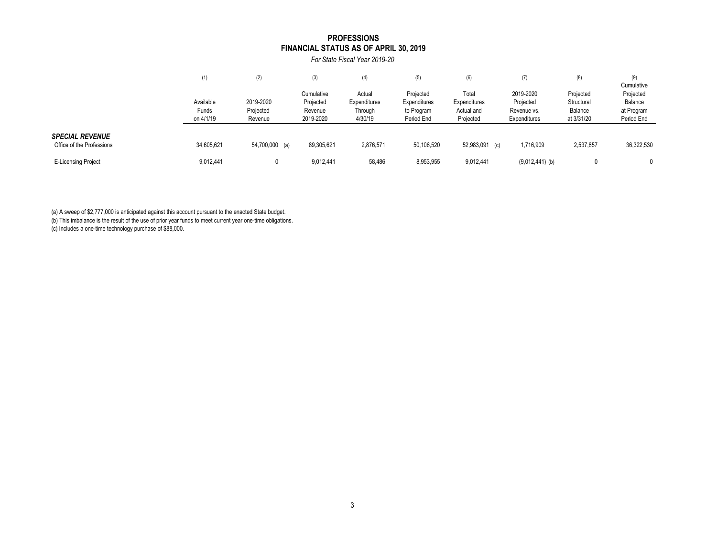#### **FINANCIAL STATUS AS OF APRIL 30, 2019 PROFESSIONS**

*For State Fiscal Year 2019-20*

|                                                     | (1)                             | (2)                               | (3)                                             | (4)                                          | (5)                                                   | (6)                                              | (7)                                                   | (8)                                              | (9)<br>Cumulative                                |
|-----------------------------------------------------|---------------------------------|-----------------------------------|-------------------------------------------------|----------------------------------------------|-------------------------------------------------------|--------------------------------------------------|-------------------------------------------------------|--------------------------------------------------|--------------------------------------------------|
|                                                     | Available<br>Funds<br>on 4/1/19 | 2019-2020<br>Projected<br>Revenue | Cumulative<br>Projected<br>Revenue<br>2019-2020 | Actual<br>Expenditures<br>Through<br>4/30/19 | Projected<br>Expenditures<br>to Program<br>Period End | Total<br>Expenditures<br>Actual and<br>Projected | 2019-2020<br>Projected<br>Revenue vs.<br>Expenditures | Projected<br>Structural<br>Balance<br>at 3/31/20 | Projected<br>Balance<br>at Program<br>Period End |
| <b>SPECIAL REVENUE</b><br>Office of the Professions | 34,605,621                      | 54,700,000 (a)                    | 89,305,621                                      | 2,876,571                                    | 50,106,520                                            | 52,983,091<br>(c)                                | 1,716,909                                             | 2,537,857                                        | 36,322,530                                       |
| <b>E-Licensing Project</b>                          | 9,012,441                       |                                   | 9,012,441                                       | 58,486                                       | 8,953,955                                             | 9,012,441                                        | $(9,012,441)$ (b)                                     |                                                  |                                                  |

(a) A sweep of \$2,777,000 is anticipated against this account pursuant to the enacted State budget.

(b) This imbalance is the result of the use of prior year funds to meet current year one-time obligations.

(c) Includes a one-time technology purchase of \$88,000.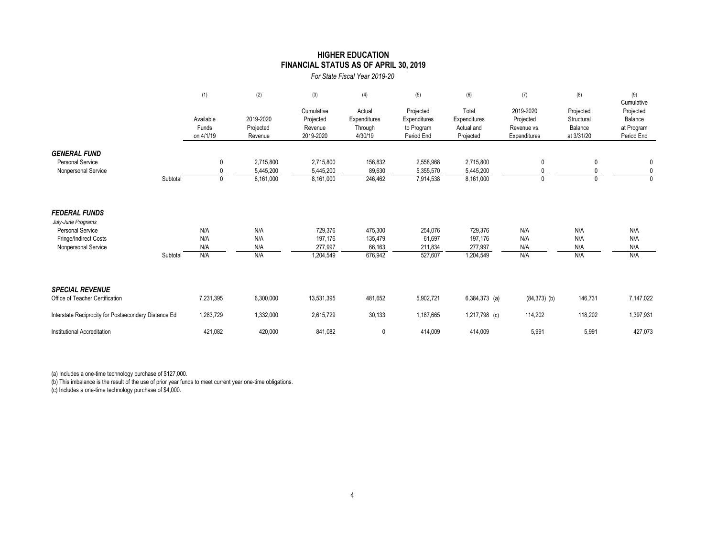### **HIGHER EDUCATION FINANCIAL STATUS AS OF APRIL 30, 2019**

*For State Fiscal Year 2019-20*

|                                                      |          | (1)                             | (2)                               | (3)                                             | (4)                                          | (5)                                                   | (6)                                              | (7)                                                   | (8)                                              | (9)<br>Cumulative                                |
|------------------------------------------------------|----------|---------------------------------|-----------------------------------|-------------------------------------------------|----------------------------------------------|-------------------------------------------------------|--------------------------------------------------|-------------------------------------------------------|--------------------------------------------------|--------------------------------------------------|
|                                                      |          | Available<br>Funds<br>on 4/1/19 | 2019-2020<br>Projected<br>Revenue | Cumulative<br>Projected<br>Revenue<br>2019-2020 | Actual<br>Expenditures<br>Through<br>4/30/19 | Projected<br>Expenditures<br>to Program<br>Period End | Total<br>Expenditures<br>Actual and<br>Projected | 2019-2020<br>Projected<br>Revenue vs.<br>Expenditures | Projected<br>Structural<br>Balance<br>at 3/31/20 | Projected<br>Balance<br>at Program<br>Period End |
| <b>GENERAL FUND</b>                                  |          |                                 |                                   |                                                 |                                              |                                                       |                                                  |                                                       |                                                  |                                                  |
| <b>Personal Service</b><br>Nonpersonal Service       |          | 0                               | 2,715,800<br>5,445,200            | 2,715,800<br>5,445,200                          | 156,832<br>89,630                            | 2,558,968<br>5,355,570                                | 2,715,800<br>5,445,200                           | 0                                                     | 0                                                | 0<br>0                                           |
|                                                      | Subtotal | $\Omega$                        | 8,161,000                         | 8,161,000                                       | 246,462                                      | 7,914,538                                             | 8,161,000                                        | $\Omega$                                              | 0                                                | $\Omega$                                         |
| <b>FEDERAL FUNDS</b><br>July-June Programs           |          |                                 |                                   |                                                 |                                              |                                                       |                                                  |                                                       |                                                  |                                                  |
| <b>Personal Service</b>                              |          | N/A                             | N/A                               | 729,376                                         | 475,300                                      | 254,076                                               | 729,376                                          | N/A                                                   | N/A                                              | N/A                                              |
| Fringe/Indirect Costs                                |          | N/A                             | N/A                               | 197,176                                         | 135,479                                      | 61,697                                                | 197,176                                          | N/A                                                   | N/A                                              | N/A                                              |
| Nonpersonal Service                                  |          | N/A                             | N/A                               | 277,997                                         | 66,163                                       | 211,834                                               | 277,997                                          | N/A                                                   | N/A                                              | N/A                                              |
|                                                      | Subtotal | N/A                             | N/A                               | 1,204,549                                       | 676,942                                      | 527,607                                               | 1,204,549                                        | N/A                                                   | N/A                                              | N/A                                              |
| <b>SPECIAL REVENUE</b>                               |          |                                 |                                   |                                                 |                                              |                                                       |                                                  |                                                       |                                                  |                                                  |
| Office of Teacher Certification                      |          | 7,231,395                       | 6,300,000                         | 13,531,395                                      | 481,652                                      | 5,902,721                                             | $6,384,373$ (a)                                  | $(84,373)$ (b)                                        | 146,731                                          | 7,147,022                                        |
| Interstate Reciprocity for Postsecondary Distance Ed |          | 1,283,729                       | 1,332,000                         | 2,615,729                                       | 30,133                                       | 1,187,665                                             | 1,217,798 (c)                                    | 114,202                                               | 118,202                                          | 1,397,931                                        |
| Institutional Accreditation                          |          | 421,082                         | 420,000                           | 841,082                                         | 0                                            | 414,009                                               | 414,009                                          | 5,991                                                 | 5,991                                            | 427,073                                          |

(a) Includes a one-time technology purchase of \$127,000.

(b) This imbalance is the result of the use of prior year funds to meet current year one-time obligations.

(c) Includes a one-time technology purchase of \$4,000.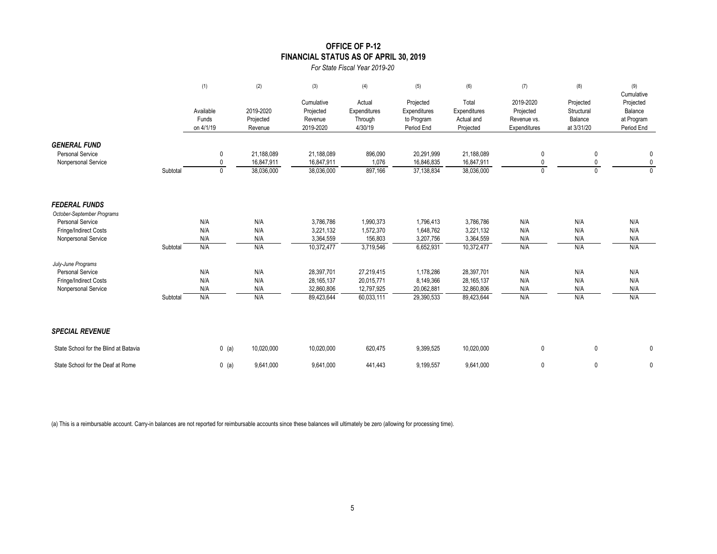### **OFFICE OF P-12 FINANCIAL STATUS AS OF APRIL 30, 2019**

*For State Fiscal Year 2019-20*

|                                                                       |          | (1)                             | (2)                                    | (3)                                             | (4)                                          | (5)                                                   | (6)                                              | (7)                                                   | (8)                                              | (9)<br>Cumulative                                |
|-----------------------------------------------------------------------|----------|---------------------------------|----------------------------------------|-------------------------------------------------|----------------------------------------------|-------------------------------------------------------|--------------------------------------------------|-------------------------------------------------------|--------------------------------------------------|--------------------------------------------------|
|                                                                       |          | Available<br>Funds<br>on 4/1/19 | 2019-2020<br>Projected<br>Revenue      | Cumulative<br>Projected<br>Revenue<br>2019-2020 | Actual<br>Expenditures<br>Through<br>4/30/19 | Projected<br>Expenditures<br>to Program<br>Period End | Total<br>Expenditures<br>Actual and<br>Projected | 2019-2020<br>Projected<br>Revenue vs.<br>Expenditures | Projected<br>Structural<br>Balance<br>at 3/31/20 | Projected<br>Balance<br>at Program<br>Period End |
| <b>GENERAL FUND</b><br><b>Personal Service</b><br>Nonpersonal Service | Subtotal | 0<br>0<br>$\mathbf{0}$          | 21,188,089<br>16,847,911<br>38,036,000 | 21,188,089<br>16,847,911<br>38,036,000          | 896,090<br>1,076<br>897,166                  | 20,291,999<br>16,846,835<br>37,138,834                | 21,188,089<br>16,847,911<br>38,036,000           | 0<br>$\mathbf{0}$<br>$\mathbf{0}$                     | 0<br>0<br>0                                      | 0<br>0<br>$\mathbf{0}$                           |
| <b>FEDERAL FUNDS</b><br>October-September Programs                    |          |                                 |                                        |                                                 |                                              |                                                       |                                                  |                                                       |                                                  |                                                  |
| <b>Personal Service</b>                                               |          | N/A                             | N/A                                    | 3,786,786                                       | 1,990,373                                    | 1,796,413                                             | 3,786,786                                        | N/A                                                   | N/A                                              | N/A                                              |
| Fringe/Indirect Costs                                                 |          | N/A                             | N/A                                    | 3,221,132                                       | 1,572,370                                    | 1,648,762                                             | 3,221,132                                        | N/A                                                   | N/A                                              | N/A                                              |
| Nonpersonal Service                                                   | Subtotal | N/A<br>N/A                      | N/A<br>N/A                             | 3,364,559<br>10,372,477                         | 156,803<br>3,719,546                         | 3,207,756<br>6,652,931                                | 3,364,559<br>10,372,477                          | N/A<br>N/A                                            | N/A<br>N/A                                       | N/A<br>N/A                                       |
| July-June Programs                                                    |          |                                 |                                        |                                                 |                                              |                                                       |                                                  |                                                       |                                                  |                                                  |
| <b>Personal Service</b>                                               |          | N/A                             | N/A                                    | 28,397,701                                      | 27,219,415                                   | 1,178,286                                             | 28,397,701                                       | N/A                                                   | N/A                                              | N/A                                              |
| Fringe/Indirect Costs                                                 |          | N/A                             | N/A                                    | 28, 165, 137                                    | 20,015,771                                   | 8,149,366                                             | 28,165,137                                       | N/A                                                   | N/A                                              | N/A                                              |
| Nonpersonal Service                                                   | Subtotal | N/A<br>N/A                      | N/A<br>N/A                             | 32,860,806<br>89,423,644                        | 12,797,925<br>60,033,111                     | 20,062,881<br>29,390,533                              | 32,860,806<br>89,423,644                         | N/A<br>N/A                                            | N/A<br>N/A                                       | N/A<br>N/A                                       |
| <b>SPECIAL REVENUE</b>                                                |          |                                 |                                        |                                                 |                                              |                                                       |                                                  |                                                       |                                                  |                                                  |
| State School for the Blind at Batavia                                 |          | $0$ (a)                         | 10,020,000                             | 10,020,000                                      | 620,475                                      | 9,399,525                                             | 10,020,000                                       | $\mathbf 0$                                           | 0                                                | 0                                                |
| State School for the Deaf at Rome                                     |          | $0$ (a)                         | 9,641,000                              | 9,641,000                                       | 441,443                                      | 9,199,557                                             | 9,641,000                                        | $\mathbf 0$                                           | 0                                                | 0                                                |

(a) This is a reimbursable account. Carry-in balances are not reported for reimbursable accounts since these balances will ultimately be zero (allowing for processing time).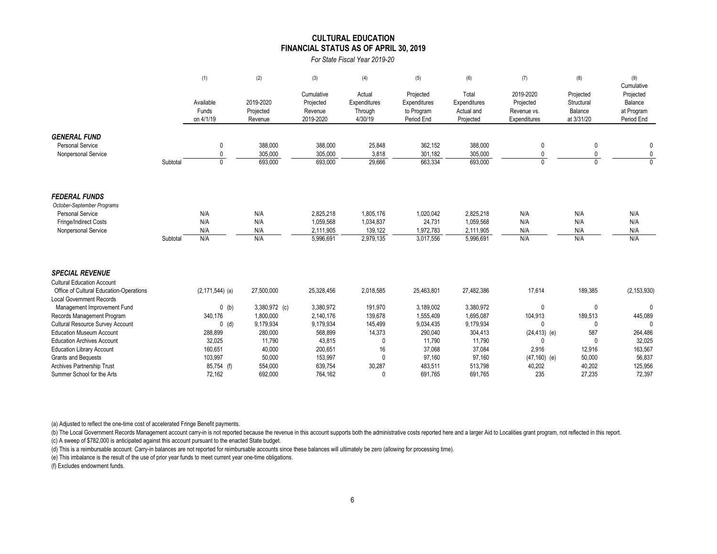#### **FINANCIAL STATUS AS OF APRIL 30, 2019 CULTURAL EDUCATION**

*For State Fiscal Year 2019-20*

|                                                                                                                                                                                                                                                                                                                                        |          | (1)                                                                                              | (2)                                                                                                    | (3)                                                                                                  | (4)                                                                               | (5)                                                                                                | (6)                                                                                                | (7)                                                                                                      | (8)                                                                                        | (9)                                                                                            |
|----------------------------------------------------------------------------------------------------------------------------------------------------------------------------------------------------------------------------------------------------------------------------------------------------------------------------------------|----------|--------------------------------------------------------------------------------------------------|--------------------------------------------------------------------------------------------------------|------------------------------------------------------------------------------------------------------|-----------------------------------------------------------------------------------|----------------------------------------------------------------------------------------------------|----------------------------------------------------------------------------------------------------|----------------------------------------------------------------------------------------------------------|--------------------------------------------------------------------------------------------|------------------------------------------------------------------------------------------------|
|                                                                                                                                                                                                                                                                                                                                        |          | Available<br>Funds<br>on 4/1/19                                                                  | 2019-2020<br>Projected<br>Revenue                                                                      | Cumulative<br>Projected<br>Revenue<br>2019-2020                                                      | Actual<br>Expenditures<br>Through<br>4/30/19                                      | Projected<br>Expenditures<br>to Program<br>Period End                                              | Total<br>Expenditures<br>Actual and<br>Projected                                                   | 2019-2020<br>Projected<br>Revenue vs.<br>Expenditures                                                    | Projected<br>Structural<br>Balance<br>at 3/31/20                                           | Cumulative<br>Projected<br>Balance<br>at Program<br>Period End                                 |
| <b>GENERAL FUND</b><br><b>Personal Service</b><br>Nonpersonal Service                                                                                                                                                                                                                                                                  | Subtotal | 0<br>$\mathbf{0}$<br>$\Omega$                                                                    | 388,000<br>305,000<br>693,000                                                                          | 388,000<br>305,000<br>693,000                                                                        | 25,848<br>3,818<br>29,666                                                         | 362,152<br>301,182<br>663,334                                                                      | 388,000<br>305,000<br>693,000                                                                      | 0<br>0<br>$\Omega$                                                                                       | 0<br>0<br>$\Omega$                                                                         | 0<br>$\mathbf 0$<br>$\Omega$                                                                   |
| <b>FEDERAL FUNDS</b><br>October-September Programs<br><b>Personal Service</b><br>Fringe/Indirect Costs<br>Nonpersonal Service                                                                                                                                                                                                          | Subtotal | N/A<br>N/A<br>N/A<br>N/A                                                                         | N/A<br>N/A<br>N/A<br>N/A                                                                               | 2,825,218<br>1,059,568<br>2,111,905<br>5,996,691                                                     | 1,805,176<br>1,034,837<br>139,122<br>2,979,135                                    | 1,020,042<br>24,731<br>1,972,783<br>3,017,556                                                      | 2,825,218<br>1,059,568<br>2,111,905<br>5,996,691                                                   | N/A<br>N/A<br>N/A<br>N/A                                                                                 | N/A<br>N/A<br>N/A<br>N/A                                                                   | N/A<br>N/A<br>N/A<br>N/A                                                                       |
| <b>SPECIAL REVENUE</b><br><b>Cultural Education Account</b><br>Office of Cultural Education-Operations                                                                                                                                                                                                                                 |          | $(2, 171, 544)$ (a)                                                                              | 27,500,000                                                                                             | 25,328,456                                                                                           | 2,018,585                                                                         | 25,463,801                                                                                         | 27,482,386                                                                                         | 17,614                                                                                                   | 189,385                                                                                    | (2, 153, 930)                                                                                  |
| <b>Local Government Records</b><br>Management Improvement Fund<br>Records Management Program<br>Cultural Resource Survey Account<br><b>Education Museum Account</b><br><b>Education Archives Account</b><br><b>Education Library Account</b><br><b>Grants and Bequests</b><br>Archives Partnership Trust<br>Summer School for the Arts |          | $0$ (b)<br>340,176<br>$0$ (d)<br>288,899<br>32,025<br>160,651<br>103,997<br>85,754 (f)<br>72,162 | 3,380,972 (c)<br>1,800,000<br>9,179,934<br>280,000<br>11,790<br>40,000<br>50,000<br>554,000<br>692,000 | 3,380,972<br>2,140,176<br>9,179,934<br>568,899<br>43,815<br>200,651<br>153,997<br>639,754<br>764,162 | 191,970<br>139,678<br>145,499<br>14,373<br>0<br>16<br>$\mathbf{0}$<br>30,287<br>0 | 3,189,002<br>1,555,409<br>9,034,435<br>290,040<br>11,790<br>37,068<br>97,160<br>483,511<br>691,765 | 3,380,972<br>1,695,087<br>9,179,934<br>304,413<br>11,790<br>37,084<br>97,160<br>513,798<br>691,765 | 0<br>104,913<br>$\mathbf{0}$<br>$(24, 413)$ (e)<br>$\Omega$<br>2,916<br>$(47, 160)$ (e)<br>40,202<br>235 | $\mathbf 0$<br>189,513<br>0<br>587<br>$\mathbf{0}$<br>12,916<br>50,000<br>40,202<br>27,235 | $\Omega$<br>445,089<br>$\Omega$<br>264,486<br>32,025<br>163,567<br>56,837<br>125,956<br>72,397 |

(a) Adjusted to reflect the one-time cost of accelerated Fringe Benefit payments.

(b) The Local Government Records Management account carry-in is not reported because the revenue in this account supports both the administrative costs reported here and a larger Aid to Localities grant program, not reflec (c) A sweep of \$782,000 is anticipated against this account pursuant to the enacted State budget.

(d) This is a reimbursable account. Carry-in balances are not reported for reimbursable accounts since these balances will ultimately be zero (allowing for processing time).

(e) This imbalance is the result of the use of prior year funds to meet current year one-time obligations.

(f) Excludes endowment funds.